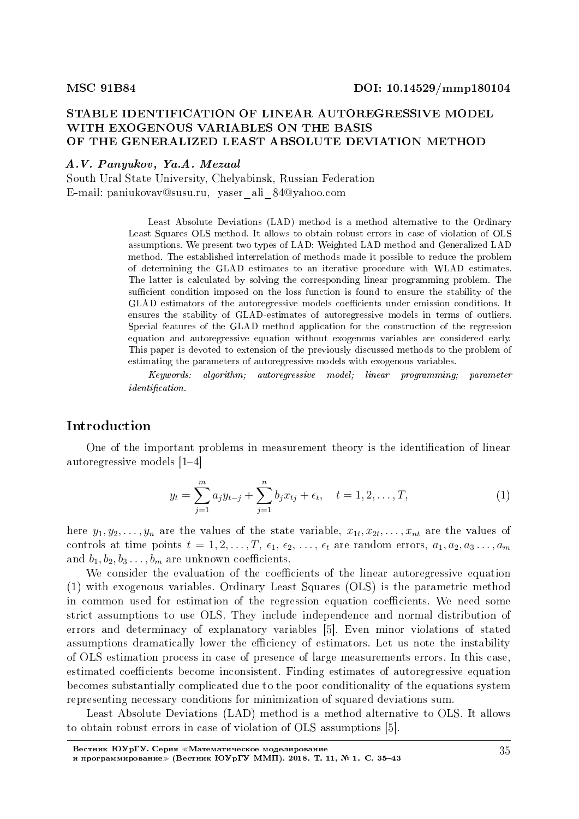# STABLE IDENTIFICATION OF LINEAR AUTOREGRESSIVE MODEL WITH EXOGENOUS VARIABLES ON THE BASIS OF THE GENERALIZED LEAST ABSOLUTE DEVIATION METHOD

#### A.V. Panyukov, Ya.A. Mezaal

South Ural State University, Chelyabinsk, Russian Federation E-mail: paniukovav@susu.ru, yaser\_ali\_84@yahoo.com

> Least Absolute Deviations (LAD) method is a method alternative to the Ordinary Least Squares OLS method. It allows to obtain robust errors in case of violation of OLS assumptions. We present two types of LAD: Weighted LAD method and Generalized LAD method. The established interrelation of methods made it possible to reduce the problem of determining the GLAD estimates to an iterative procedure with WLAD estimates. The latter is calculated by solving the corresponding linear programming problem. The sufficient condition imposed on the loss function is found to ensure the stability of the GLAD estimators of the autoregressive models coefficients under emission conditions. It ensures the stability of GLAD-estimates of autoregressive models in terms of outliers. Special features of the GLAD method application for the construction of the regression equation and autoregressive equation without exogenous variables are considered early. This paper is devoted to extension of the previously discussed methods to the problem of estimating the parameters of autoregressive models with exogenous variables.

> Keywords: algorithm; autoregressive model; linear programming; parameter  $identification.$

#### Introduction

One of the important problems in measurement theory is the identification of linear autoregressive models  $[1-4]$ 

$$
y_t = \sum_{j=1}^m a_j y_{t-j} + \sum_{j=1}^n b_j x_{tj} + \epsilon_t, \quad t = 1, 2, \dots, T,
$$
 (1)

here  $y_1, y_2, \ldots, y_n$  are the values of the state variable,  $x_{1t}, x_{2t}, \ldots, x_{nt}$  are the values of controls at time points  $t = 1, 2, \ldots, T, \epsilon_1, \epsilon_2, \ldots, \epsilon_t$  are random errors,  $a_1, a_2, a_3 \ldots, a_m$ and  $b_1, b_2, b_3, \ldots, b_m$  are unknown coefficients.

We consider the evaluation of the coefficients of the linear autoregressive equation (1) with exogenous variables. Ordinary Least Squares (OLS) is the parametric method in common used for estimation of the regression equation coefficients. We need some strict assumptions to use OLS. They include independence and normal distribution of errors and determinacy of explanatory variables [5]. Even minor violations of stated assumptions dramatically lower the efficiency of estimators. Let us note the instability of OLS estimation process in case of presence of large measurements errors. In this case, estimated coefficients become inconsistent. Finding estimates of autoregressive equation becomes substantially complicated due to the poor conditionality of the equations system representing necessary conditions for minimization of squared deviations sum.

Least Absolute Deviations (LAD) method is a method alternative to OLS. It allows to obtain robust errors in case of violation of OLS assumptions [5].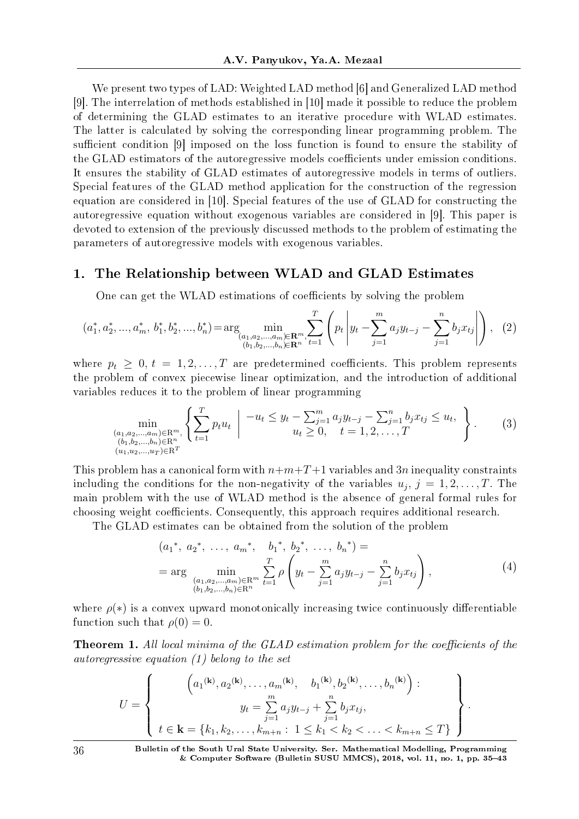We present two types of LAD: Weighted LAD method [6] and Generalized LAD method [9]. The interrelation of methods established in [10] made it possible to reduce the problem of determining the GLAD estimates to an iterative procedure with WLAD estimates. The latter is calculated by solving the corresponding linear programming problem. The sufficient condition [9] imposed on the loss function is found to ensure the stability of the GLAD estimators of the autoregressive models coefficients under emission conditions. It ensures the stability of GLAD estimates of autoregressive models in terms of outliers. Special features of the GLAD method application for the construction of the regression equation are considered in [10]. Special features of the use of GLAD for constructing the autoregressive equation without exogenous variables are considered in [9]. This paper is devoted to extension of the previously discussed methods to the problem of estimating the parameters of autoregressive models with exogenous variables.

# 1. The Relationship between WLAD and GLAD Estimates

One can get the WLAD estimations of coefficients by solving the problem

$$
(a_1^*, a_2^*, ..., a_m^*, b_1^*, b_2^*, ..., b_n^*) = \arg\!\min_{\substack{(a_1, a_2, ..., a_m) \in \mathbb{R}^m, \ b_1 = 1}} \sum_{t=1}^T \left( p_t \left| y_t - \sum_{j=1}^m a_j y_{t-j} - \sum_{j=1}^n b_j x_{tj} \right| \right), \tag{2}
$$

where  $p_t \geq 0, t = 1, 2, ..., T$  are predetermined coefficients. This problem represents the problem of convex piecewise linear optimization, and the introduction of additional variables reduces it to the problem of linear programming

$$
\min_{\substack{(a_1, a_2, \dots, a_m) \in \mathbb{R}^m, \ (b_1, b_2, \dots, b_n) \in \mathbb{R}^n}} \left\{ \sum_{t=1}^T p_t u_t \mid \frac{-u_t \leq y_t - \sum_{j=1}^m a_j y_{t-j} - \sum_{j=1}^n b_j x_{tj} \leq u_t, \ u_t \geq 0, \ t = 1, 2, \dots, T} \right\}.
$$
\n
$$
(3)
$$
\n
$$
\min_{(u_1, u_2, \dots, u_T) \in \mathbb{R}^T}
$$

This problem has a canonical form with  $n+m+T+1$  variables and 3*n* inequality constraints including the conditions for the non-negativity of the variables  $u_j, j = 1, 2, \ldots, T$ . The main problem with the use of WLAD method is the absence of general formal rules for choosing weight coefficients. Consequently, this approach requires additional research.

The GLAD estimates can be obtained from the solution of the problem

$$
(a_1^*, a_2^*, \dots, a_m^*, b_1^*, b_2^*, \dots, b_n^*) =
$$
  
= arg  $\min_{\substack{(a_1, a_2, \dots, a_m) \in \mathbb{R}^m \\ (b_1, b_2, \dots, b_n) \in \mathbb{R}^n}} \sum_{t=1}^T \rho \left( y_t - \sum_{j=1}^m a_j y_{t-j} - \sum_{j=1}^n b_j x_{tj} \right),$  (4)

where  $\rho(*)$  is a convex upward monotonically increasing twice continuously differentiable function such that  $\rho(0) = 0$ .

**Theorem 1.** All local minima of the GLAD estimation problem for the coefficients of the autoregressive equation (1) belong to the set

$$
U = \left\{\n\begin{array}{c}\n\left(a_1^{(\mathbf{k})}, a_2^{(\mathbf{k})}, \dots, a_m^{(\mathbf{k})}, b_1^{(\mathbf{k})}, b_2^{(\mathbf{k})}, \dots, b_n^{(\mathbf{k})}\right) : \\
y_t = \sum_{j=1}^m a_j y_{t-j} + \sum_{j=1}^n b_j x_{tj}, \\
t \in \mathbf{k} = \{k_1, k_2, \dots, k_{m+n} : 1 \leq k_1 < k_2 < \dots < k_{m+n} \leq T\}\n\end{array}\n\right\}.
$$

36 Bulletin of the South Ural State University. Ser. Mathematical Modelling, Programming & Computer Software (Bulletin SUSU MMCS), 2018, vol. 11, no. 1, pp. 35–43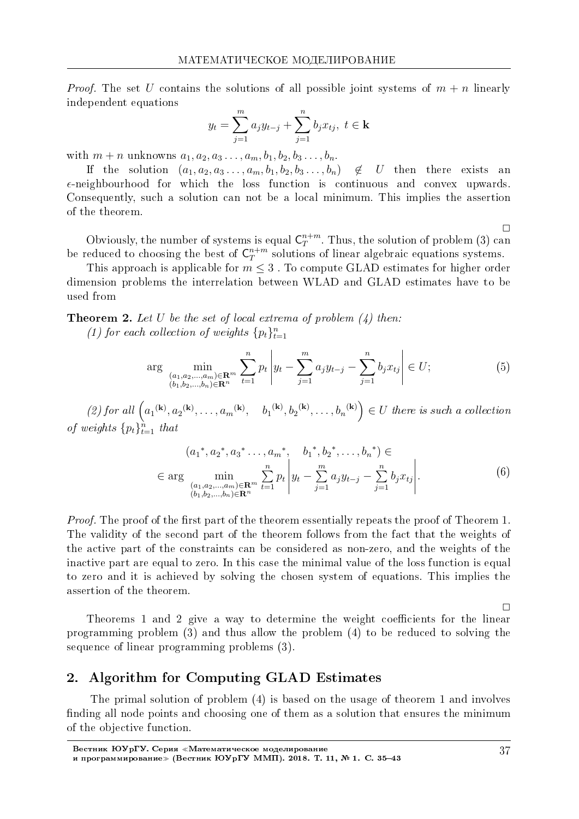*Proof.* The set U contains the solutions of all possible joint systems of  $m + n$  linearly independent equations

$$
y_t = \sum_{j=1}^m a_j y_{t-j} + \sum_{j=1}^n b_j x_{tj}, \ t \in \mathbf{k}
$$

with  $m + n$  unknowns  $a_1, a_2, a_3 \ldots, a_m, b_1, b_2, b_3 \ldots, b_n$ .

If the solution  $(a_1, a_2, a_3, \ldots, a_m, b_1, b_2, b_3, \ldots, b_n)$  $\notin$  U then there exists an  $\epsilon$ -neighbourhood for which the loss function is continuous and convex upwards. Consequently, such a solution can not be a local minimum. This implies the assertion of the theorem.

 $\Box$ Obviously, the number of systems is equal  $C_T^{n+m}$ . Thus, the solution of problem (3) can

be reduced to choosing the best of  $C_T^{n+m}$  solutions of linear algebraic equations systems. This approach is applicable for  $m \leq 3$ . To compute GLAD estimates for higher order

dimension problems the interrelation between WLAD and GLAD estimates have to be used from

**Theorem 2.** Let U be the set of local extrema of problem  $(4)$  then:

(1) for each collection of weights  $\{p_t\}_{t=1}^n$ 

$$
\arg\min_{\substack{(a_1, a_2, \dots, a_m) \in \mathbf{R}^m \\ (b_1, b_2, \dots, b_n) \in \mathbf{R}^n}} \sum_{t=1}^n p_t \left| y_t - \sum_{j=1}^m a_j y_{t-j} - \sum_{j=1}^n b_j x_{tj} \right| \in U; \tag{5}
$$

(2) for all  $\left(a_1^{(\mathbf{k})}, a_2^{(\mathbf{k})}, \ldots, a_m^{(\mathbf{k})}, b_1^{(\mathbf{k})}, b_2^{(\mathbf{k})}, \ldots, b_n^{(\mathbf{k})}\right) \in U$  there is such a collection of weights  $\{p_t\}_{t=1}^n$  that

$$
(a_1^*, a_2^*, a_3^*, \dots, a_m^*, b_1^*, b_2^*, \dots, b_n^*) \in
$$
  
\n
$$
\in \arg \min_{\substack{(a_1, a_2, \dots, a_m) \in \mathbf{R}^m \\ (b_1, b_2, \dots, b_n) \in \mathbf{R}^n}} \sum_{t=1}^n p_t \left| y_t - \sum_{j=1}^m a_j y_{t-j} - \sum_{j=1}^n b_j x_{tj} \right|.
$$
 (6)

*Proof.* The proof of the first part of the theorem essentially repeats the proof of Theorem 1. The validity of the second part of the theorem follows from the fact that the weights of the active part of the constraints can be considered as non-zero, and the weights of the inactive part are equal to zero. In this case the minimal value of the loss function is equal to zero and it is achieved by solving the chosen system of equations. This implies the assertion of the theorem.

Theorems 1 and 2 give a way to determine the weight coefficients for the linear programming problem  $(3)$  and thus allow the problem  $(4)$  to be reduced to solving the sequence of linear programming problems (3).

#### **Algorithm for Computing GLAD Estimates**  $2.$

The primal solution of problem (4) is based on the usage of theorem 1 and involves finding all node points and choosing one of them as a solution that ensures the minimum of the objective function.

 $\Box$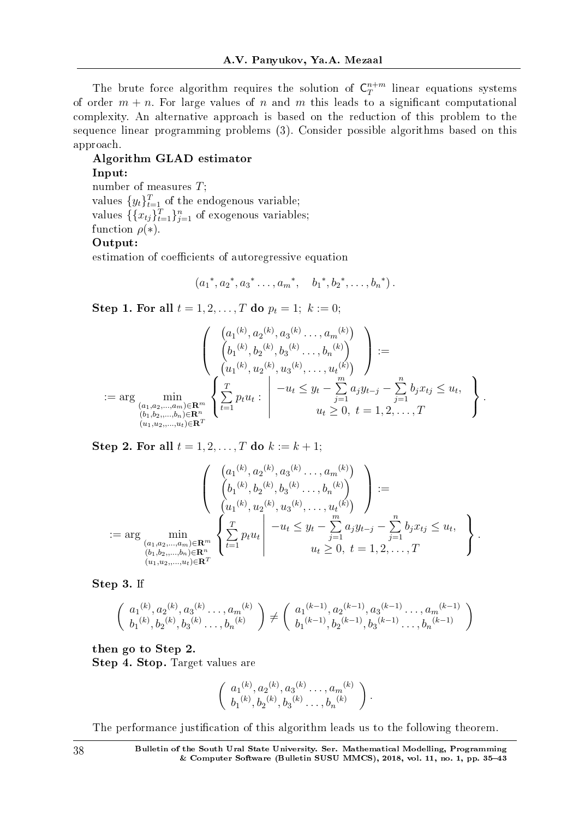The brute force algorithm requires the solution of  $C_T^{n+m}$  $T^{n+m}$  linear equations systems of order  $m + n$ . For large values of *n* and *m* this leads to a significant computational complexity. An alternative approach is based on the reduction of this problem to the sequence linear programming problems (3). Consider possible algorithms based on this approach.

#### Algorithm GLAD estimator Input:

number of measures *T*; values  $\{y_t\}_{t=1}^T$  of the endogenous variable; values  $\{\{x_{tj}\}_{t=1}^T\}_{j=1}^n$  of exogenous variables; function  $\rho(*)$ . Output:

estimation of coefficients of autoregressive equation

$$
(a_1^*, a_2^*, a_3^*, \ldots, a_m^*, \quad b_1^*, b_2^*, \ldots, b_n^*).
$$

**Step 1. For all**  $t = 1, 2, ..., T$  do  $p_t = 1; k := 0;$ 

$$
\begin{pmatrix}\n\left(\begin{array}{c}\n(a_1^{(k)}, a_2^{(k)}, a_3^{(k)}, \dots, a_m^{(k)} \\
(b_1^{(k)}, b_2^{(k)}, b_3^{(k)}, \dots, b_n^{(k)}\n\end{array}\right) \\
:=\n\left(\begin{array}{c}\n(a_1^{(k)}, a_2^{(k)}, a_3^{(k)}, \dots, a_t^{(k)}\n\end{array}\right) \\
:=\n\begin{array}{c}\n\left(\begin{array}{c}\n(a_1^{(k)}, a_2^{(k)}, a_3^{(k)}, \dots, a_t^{(k)}\n\end{array}\right) \\
\text{and} \\
(a_1, a_2, \dots, a_m) \in \mathbb{R}^m \\
(a_1, b_2, \dots, b_n) \in \mathbb{R}^n\n\end{array}\n\right\} \\
:=\n\begin{array}{c}\n\frac{T}{\sum_{t=1}^T p_t u_t: \quad -u_t \leq y_t - \sum_{j=1}^m a_j y_{t-j} - \sum_{j=1}^n b_j x_{tj} \leq u_t, \\
u_t \geq 0, \ t = 1, 2, \dots, T\n\end{array}\n\end{array}\n\right\}.
$$

Step 2. For all  $t = 1, 2, ..., T$  do  $k := k + 1$ ;

$$
\begin{pmatrix}\n\left(a_1^{(k)}, a_2^{(k)}, a_3^{(k)}, \ldots, a_m^{(k)}\right) \\
\left(b_1^{(k)}, b_2^{(k)}, b_3^{(k)}, \ldots, b_n^{(k)}\right) \\
\left(a_1^{(k)}, a_2^{(k)}, a_3^{(k)}, \ldots, a_t^{(k)}\right)\n\end{pmatrix} :=
$$
\n
$$
:= \arg \min_{\substack{(a_1, a_2, \ldots, a_m) \in \mathbb{R}^m \\ (b_1, b_2, \ldots, b_n) \in \mathbb{R}^n}} \left\{\sum_{t=1}^T p_t u_t \middle| \quad -u_t \leq y_t - \sum_{j=1}^m a_j y_{t-j} - \sum_{j=1}^n b_j x_{tj} \leq u_t, \quad u_t \geq 0, \ t = 1, 2, \ldots, T\n\right\}.
$$

Step 3. If

$$
\begin{pmatrix} a_1^{(k)}, a_2^{(k)}, a_3^{(k)}, \ldots, a_m^{(k)} \\ b_1^{(k)}, b_2^{(k)}, b_3^{(k)}, \ldots, b_n^{(k)} \end{pmatrix} \neq \begin{pmatrix} a_1^{(k-1)}, a_2^{(k-1)}, a_3^{(k-1)}, \ldots, a_m^{(k-1)} \\ b_1^{(k-1)}, b_2^{(k-1)}, b_3^{(k-1)}, \ldots, b_n^{(k-1)} \end{pmatrix}
$$

then go to Step 2. Step 4. Stop. Target values are

$$
\left(\begin{array}{c} a_1^{(k)}, a_2^{(k)}, a_3^{(k)} \dots, a_m^{(k)} \\ b_1^{(k)}, b_2^{(k)}, b_3^{(k)} \dots, b_n^{(k)} \end{array}\right).
$$

The performance justification of this algorithm leads us to the following theorem.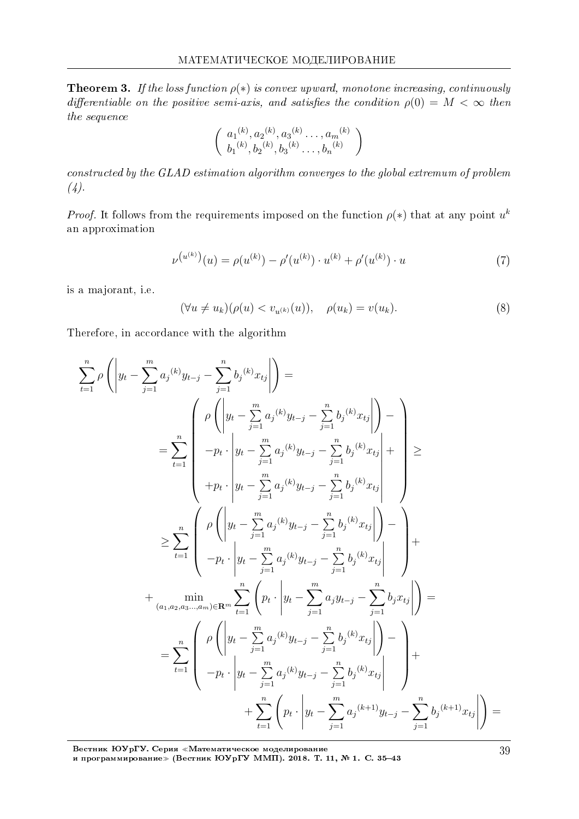**Theorem 3.** If the loss function  $\rho(*)$  is convex upward, monotone increasing, continuously differentiable on the positive semi-axis, and satisfies the condition  $\rho(0) = M < \infty$  then the sequence

$$
\left(\begin{array}{c} a_1^{(k)}, a_2^{(k)}, a_3^{(k)} \dots, a_m^{(k)} \\ b_1^{(k)}, b_2^{(k)}, b_3^{(k)} \dots, b_n^{(k)} \end{array}\right)
$$

constructed by the GLAD estimation algorithm converges to the global extremum of problem  $(4).$ 

*Proof.* It follows from the requirements imposed on the function  $\rho(*)$  that at any point  $u^k$ an approximation

$$
\nu^{(u^{(k)})}(u) = \rho(u^{(k)}) - \rho'(u^{(k)}) \cdot u^{(k)} + \rho'(u^{(k)}) \cdot u \tag{7}
$$

is a majorant, i.e.

$$
(\forall u \neq u_k)(\rho(u) < v_{u^{(k)}}(u)), \quad \rho(u_k) = v(u_k). \tag{8}
$$

Therefore, in accordance with the algorithm

$$
\sum_{t=1}^{n} \rho \left( \left| y_{t} - \sum_{j=1}^{m} a_{j}{}^{(k)} y_{t-j} - \sum_{j=1}^{n} b_{j}{}^{(k)} x_{tj} \right| \right) =
$$
\n
$$
= \sum_{t=1}^{n} \left( \rho \left( \left| y_{t} - \sum_{j=1}^{m} a_{j}{}^{(k)} y_{t-j} - \sum_{j=1}^{n} b_{j}{}^{(k)} x_{tj} \right| \right) - \left| y_{t} - \sum_{j=1}^{m} a_{j}{}^{(k)} y_{t-j} - \sum_{j=1}^{n} b_{j}{}^{(k)} x_{tj} \right| + \right) \ge
$$
\n
$$
+ p_{t} \cdot \left| y_{t} - \sum_{j=1}^{m} a_{j}{}^{(k)} y_{t-j} - \sum_{j=1}^{n} b_{j}{}^{(k)} x_{tj} \right| + \left| y_{t} - \sum_{j=1}^{m} a_{j}{}^{(k)} y_{t-j} - \sum_{j=1}^{n} b_{j}{}^{(k)} x_{tj} \right| \right) - \left| y_{t} - \sum_{j=1}^{m} a_{j}{}^{(k)} y_{t-j} - \sum_{j=1}^{n} b_{j}{}^{(k)} x_{tj} \right| - \left| y_{t} - \sum_{j=1}^{m} a_{j}{}^{(k)} y_{t-j} - \sum_{j=1}^{n} b_{j}{}^{(k)} x_{tj} \right| \right) + \left| a_{(a_1, a_2, a_3, \dots, a_m) \in \mathbb{R}^m} \sum_{t=1}^{n} \left( p_{t} \cdot \left| y_{t} - \sum_{j=1}^{m} a_{j}{}^{(k)} y_{t-j} - \sum_{j=1}^{n} b_{j}{}^{(k)} x_{tj} \right| \right) - \left| y_{t} - \sum_{j=1}^{n} a_{j}{}^{(k)} y_{t-j} - \sum_{j=1}^{n} b_{j}{}^{(k)} x_{tj} \right| \right) + \left| y_{t} - \sum_{j=1}^{m} a_{j}{}^{(k)} y_{t-j} - \sum_{j=1}^{n} b_{j}{}^{(k)} x_{tj} \right| \right) + \left| y_{t} - \
$$

Вестник ЮУрГУ. Серия «Математическое моделирование<br>и программирование» (Вестник ЮУрГУ ММП). 2018. Т. 11, № 1. С. 35–43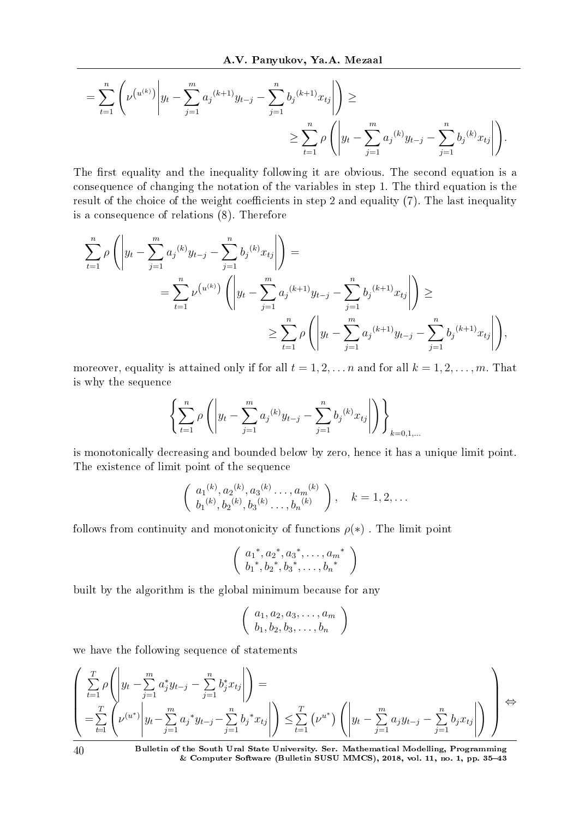$$
= \sum_{t=1}^{n} \left( \nu^{(u^{(k)})} \left| y_t - \sum_{j=1}^{m} a_j^{(k+1)} y_{t-j} - \sum_{j=1}^{n} b_j^{(k+1)} x_{tj} \right| \right) \ge
$$
  

$$
\ge \sum_{t=1}^{n} \rho \left( \left| y_t - \sum_{j=1}^{m} a_j^{(k)} y_{t-j} - \sum_{j=1}^{n} b_j^{(k)} x_{tj} \right| \right).
$$

The first equality and the inequality following it are obvious. The second equation is a consequence of changing the notation of the variables in step 1. The third equation is the result of the choice of the weight coefficients in step 2 and equality  $(7)$ . The last inequality is a consequence of relations (8). Therefore

$$
\sum_{t=1}^{n} \rho \left( \left| y_t - \sum_{j=1}^{m} a_j^{(k)} y_{t-j} - \sum_{j=1}^{n} b_j^{(k)} x_{tj} \right| \right) =
$$
\n
$$
= \sum_{t=1}^{n} \nu^{(u^{(k)})} \left( \left| y_t - \sum_{j=1}^{m} a_j^{(k+1)} y_{t-j} - \sum_{j=1}^{n} b_j^{(k+1)} x_{tj} \right| \right) \ge
$$
\n
$$
\ge \sum_{t=1}^{n} \rho \left( \left| y_t - \sum_{j=1}^{m} a_j^{(k+1)} y_{t-j} - \sum_{j=1}^{n} b_j^{(k+1)} x_{tj} \right| \right),
$$

moreover, equality is attained only if for all  $t = 1, 2, \ldots, n$  and for all  $k = 1, 2, \ldots, m$ . That is why the sequence

$$
\left\{\sum_{t=1}^{n} \rho\left(\left|y_t - \sum_{j=1}^{m} a_j^{(k)} y_{t-j} - \sum_{j=1}^{n} b_j^{(k)} x_{tj}\right|\right)\right\}_{k=0,1,\dots}
$$

is monotonically decreasing and bounded below by zero, hence it has a unique limit point. The existence of limit point of the sequence

$$
\begin{pmatrix} a_1^{(k)}, a_2^{(k)}, a_3^{(k)}, \dots, a_m^{(k)} \\ b_1^{(k)}, b_2^{(k)}, b_3^{(k)}, \dots, b_n^{(k)} \end{pmatrix}, \quad k = 1, 2, \dots
$$

follows from continuity and monotonicity of functions  $\rho(*)$ . The limit point

$$
\left(\begin{array}{c} {a_1}^*, {a_2}^*, {a_3}^*, \ldots, {a_m}^* \\ {b_1}^*, {b_2}^*, {b_3}^*, \ldots, {b_n}^* \end{array}\right)
$$

built by the algorithm is the global minimum because for any

$$
\left(\begin{array}{c} a_1, a_2, a_3, \ldots, a_m \\ b_1, b_2, b_3, \ldots, b_n \end{array}\right)
$$

we have the following sequence of statements

$$
\left(\sum_{t=1}^{T} \rho\left(\left|y_t - \sum_{j=1}^{m} a_j^* y_{t-j} - \sum_{j=1}^{n} b_j^* x_{tj}\right|\right) = \left(\sum_{t=1}^{T} \left(\nu^{(u^*)}\middle|y_t - \sum_{j=1}^{m} a_j^* y_{t-j} - \sum_{j=1}^{n} b_j^* x_{tj}\right|\right) \leq \sum_{t=1}^{T} \left(\nu^{u^*}\middle| \left(y_t - \sum_{j=1}^{m} a_j y_{t-j} - \sum_{j=1}^{n} b_j x_{tj}\right|\right)\right) \Leftrightarrow
$$

40 Bulletin of the South Ural State University. Ser. Mathematical Modelling, Programming & Computer Software (Bulletin SUSU MMCS), 2018, vol. 11, no. 1, pp. 3543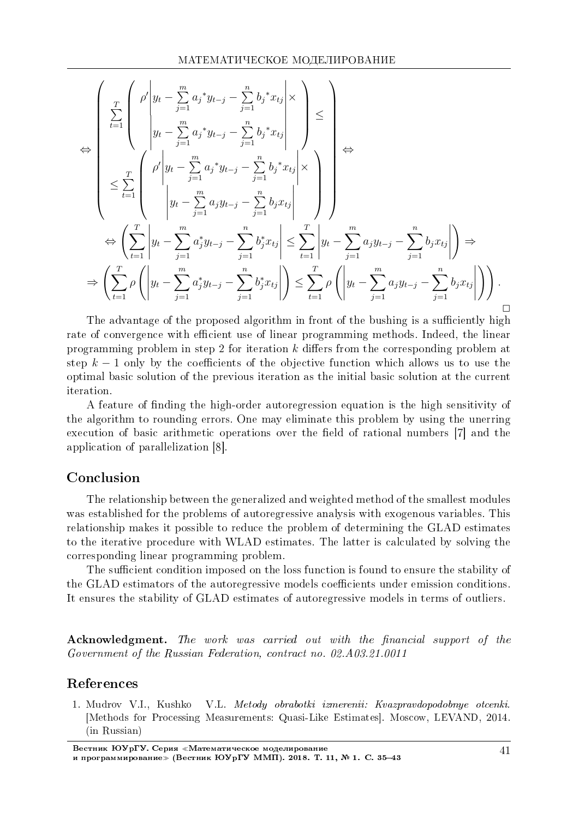$$
\Leftrightarrow \begin{pmatrix} \sum_{t=1}^{T} \left( \begin{array}{c} \rho' \left| y_{t} - \sum_{j=1}^{m} a_{j} {}^{*} y_{t-j} - \sum_{j=1}^{n} b_{j} {}^{*} x_{tj} \right| \times \\ y_{t} - \sum_{j=1}^{m} a_{j} {}^{*} y_{t-j} - \sum_{j=1}^{n} b_{j} {}^{*} x_{tj} \end{array} \right| \Leftrightarrow \\ \leq \sum_{t=1}^{T} \left( \begin{array}{c} \rho' \left| y_{t} - \sum_{j=1}^{m} a_{j} {}^{*} y_{t-j} - \sum_{j=1}^{n} b_{j} {}^{*} x_{tj} \right| \times \\ y_{t} - \sum_{j=1}^{m} a_{j} {}^{*} y_{t-j} - \sum_{j=1}^{n} b_{j} {}^{*} x_{tj} \end{array} \right| \right) \Leftrightarrow \\ \Leftrightarrow \left( \sum_{t=1}^{T} \left| y_{t} - \sum_{j=1}^{m} a_{j} {}^{*} y_{t-j} - \sum_{j=1}^{n} b_{j} {}^{*} x_{tj} \right| \leq \sum_{t=1}^{T} \left| y_{t} - \sum_{j=1}^{m} a_{j} {}^{*} y_{t-j} - \sum_{j=1}^{n} b_{j} {}^{*} x_{tj} \right| \right) \Rightarrow \\ \Rightarrow \left( \sum_{t=1}^{T} \rho \left( \left| y_{t} - \sum_{j=1}^{m} a_{j} {}^{*} y_{t-j} - \sum_{j=1}^{n} b_{j} {}^{*} x_{tj} \right| \right) \leq \sum_{t=1}^{T} \rho \left( \left| y_{t} - \sum_{j=1}^{m} a_{j} {}^{*} y_{t-j} - \sum_{j=1}^{n} b_{j} {}^{*} x_{tj} \right| \right) \right) . \qquad \Box \end{pmatrix}
$$

The advantage of the proposed algorithm in front of the bushing is a sufficiently high rate of convergence with efficient use of linear programming methods. Indeed, the linear programming problem in step 2 for iteration *k* differs from the corresponding problem at step  $k-1$  only by the coefficients of the objective function which allows us to use the optimal basic solution of the previous iteration as the initial basic solution at the current iteration.

A feature of nding the high-order autoregression equation is the high sensitivity of the algorithm to rounding errors. One may eliminate this problem by using the unerring execution of basic arithmetic operations over the field of rational numbers [7] and the application of parallelization [8].

## Conclusion

The relationship between the generalized and weighted method of the smallest modules was established for the problems of autoregressive analysis with exogenous variables. This relationship makes it possible to reduce the problem of determining the GLAD estimates to the iterative procedure with WLAD estimates. The latter is calculated by solving the corresponding linear programming problem.

The sufficient condition imposed on the loss function is found to ensure the stability of the GLAD estimators of the autoregressive models coefficients under emission conditions. It ensures the stability of GLAD estimates of autoregressive models in terms of outliers.

Acknowledgment. The work was carried out with the financial support of the Government of the Russian Federation, contract no. 02.A03.21.0011

## References

1. Mudrov V.I., Kushko V.L. Metody obrabotki izmerenii: Kvazpravdopodobnye otcenki. [Methods for Processing Measurements: Quasi-Like Estimates]. Moscow, LEVAND, 2014. (in Russian)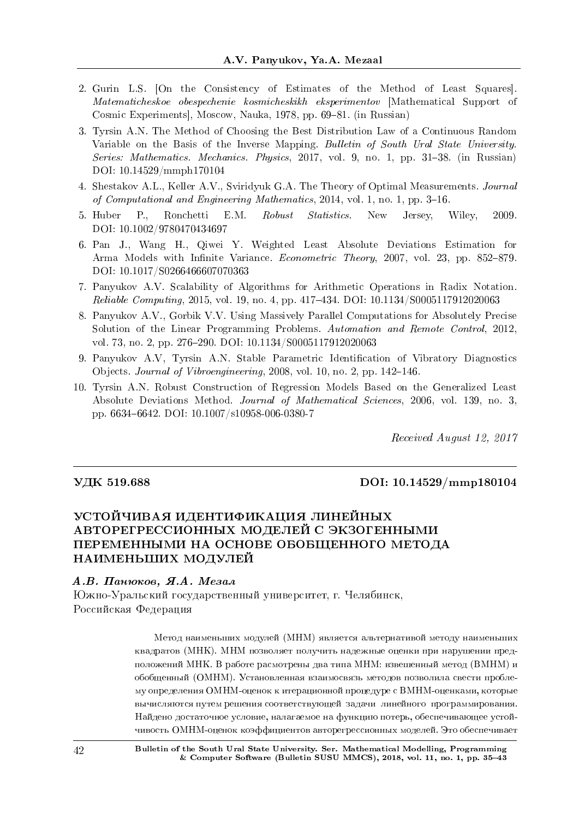- 2. Gurin L.S. [On the Consistency of Estimates of the Method of Least Squares]. Matematicheskoe obespechenie kosmicheskikh eksperimentov [Mathematical Support of Cosmic Experiments, Moscow, Nauka, 1978, pp. 69–81. (in Russian)
- 3. Tyrsin A.N. The Method of Choosing the Best Distribution Law of a Continuous Random Variable on the Basis of the Inverse Mapping. Bulletin of South Ural State University. Series: Mathematics. Mechanics. Physics, 2017, vol. 9, no. 1, pp. 31-38. (in Russian) DOI: 10.14529/mmph170104
- 4. Shestakov A.L., Keller A.V., Sviridyuk G.A. The Theory of Optimal Measurements. Journal of Computational and Engineering Mathematics,  $2014$ , vol. 1, no. 1, pp. 3-16.
- 5. Huber P., Ronchetti E.M. *Robust Statistics*. New Jersey, Wiley, 2009. DOI: 10.1002/9780470434697
- 6. Pan J., Wang H., Qiwei Y. Weighted Least Absolute Deviations Estimation for Arma Models with Infinite Variance. *Econometric Theory*, 2007, vol. 23, pp. 852–879. DOI: 10.1017/S0266466607070363
- 7. Panyukov A.V. Scalability of Algorithms for Arithmetic Operations in Radix Notation. Reliable Computing, 2015, vol. 19, no. 4, pp. 417–434. DOI: 10.1134/S0005117912020063
- 8. Panyukov A.V., Gorbik V.V. Using Massively Parallel Computations for Absolutely Precise Solution of the Linear Programming Problems. Automation and Remote Control, 2012, vol. 73, no. 2, pp. 276-290. DOI: 10.1134/S0005117912020063
- 9. Panyukov A.V, Tyrsin A.N. Stable Parametric Identification of Vibratory Diagnostics Objects. Journal of Vibroengineering, 2008, vol. 10, no. 2, pp. 142-146.
- 10. Tyrsin A.N. Robust Construction of Regression Models Based on the Generalized Least Absolute Deviations Method. Journal of Mathematical Sciences, 2006, vol. 139, no. 3, pp. 66346642. DOI: 10.1007/s10958-006-0380-7

Received August 12, 2017

#### VДK 519.688 DOI: 10.14529/mmp180104

# УСТОЙЧИВАЯ ИДЕНТИФИКАЦИЯ ЛИНЕЙНЫХ АВТОРЕГРЕССИОННЫХ МОДЕЛЕЙ С ЭКЗОГЕННЫМИ ПЕРЕМЕННЫМИ НА ОСНОВЕ ОБОБЩЕННОГО МЕТОДА НАИМЕНЬШИХ МОДУЛЕЙ

#### $A.B.$  Панюков, Я.А. Мезал

Южно-Уральский государственный университет, г. Челябинск, Российская Федерация

> Метод наименьших модулей (МНМ) является альтернативой методу наименьших квадратов (МНК). МНМ позволяет получить надежные оценки при нарушении предположений МНК. В работе расмотрены два типа МНМ: взвешенный метод (ВМНМ) и обобщенный (ОМНМ). Установленная взаимосвязь методов позволила свести проблему определения ОМНМ-оценок к итерационной процедуре с ВМНМ-оценками, которые вычисляются путем решения соответствующей задачи линейного программирования. Найдено достаточное условие, налагаемое на функцию потерь, обеспечивающее устойчивость ОМНМ-оценок коэффициентов авторегрессионных моделей. Это обеспечивает